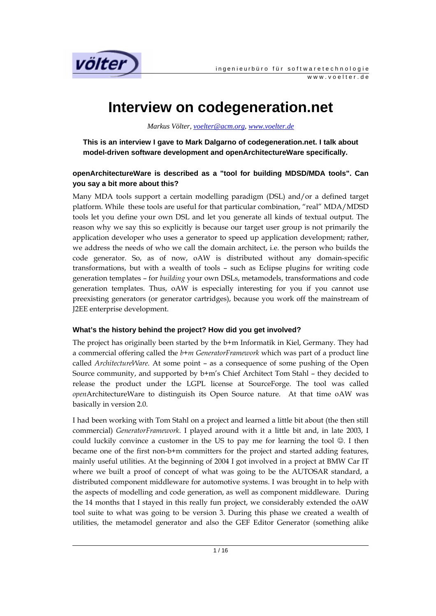

## **Interview on codegeneration.net**

*Markus Völter, voelter@acm.org, www.voelter.de*

**This is an interview I gave to Mark Dalgarno of codegeneration.net. I talk about model-driven software development and openArchitectureWare specifically.** 

### **openArchitectureWare is described as a "tool for building MDSD/MDA tools". Can you say a bit more about this?**

Many MDA tools support a certain modelling paradigm (DSL) and/or a defined target platform. While these tools are useful for that particular combination, "real" MDA/MDSD tools let you define your own DSL and let you generate all kinds of textual output. The reason why we say this so explicitly is because our target user group is not primarily the application developer who uses a generator to speed up application development; rather, we address the needs of who we call the domain architect, i.e. the person who builds the code generator. So, as of now, oAW is distributed without any domain-specific transformations, but with a wealth of tools – such as Eclipse plugins for writing code generation templates – for *building* your own DSLs, metamodels, transformations and code generation templates. Thus, oAW is especially interesting for you if you cannot use preexisting generators (or generator cartridges), because you work off the mainstream of J2EE enterprise development.

## **What's the history behind the project? How did you get involved?**

The project has originally been started by the b+m Informatik in Kiel, Germany. They had a commercial offering called the *b+m GeneratorFramework* which was part of a product line called *ArchitectureWare*. At some point – as a consequence of some pushing of the Open Source community, and supported by b+m's Chief Architect Tom Stahl – they decided to release the product under the LGPL license at SourceForge. The tool was called *open*ArchitectureWare to distinguish its Open Source nature. At that time oAW was basically in version 2.0.

I had been working with Tom Stahl on a project and learned a little bit about (the then still commercial) *GeneratorFramework*. I played around with it a little bit and, in late 2003, I could luckily convince a customer in the US to pay me for learning the tool ☺. I then became one of the first non-b+m committers for the project and started adding features, mainly useful utilities. At the beginning of 2004 I got involved in a project at BMW Car IT where we built a proof of concept of what was going to be the AUTOSAR standard, a distributed component middleware for automotive systems. I was brought in to help with the aspects of modelling and code generation, as well as component middleware. During the 14 months that I stayed in this really fun project, we considerably extended the oAW tool suite to what was going to be version 3. During this phase we created a wealth of utilities, the metamodel generator and also the GEF Editor Generator (something alike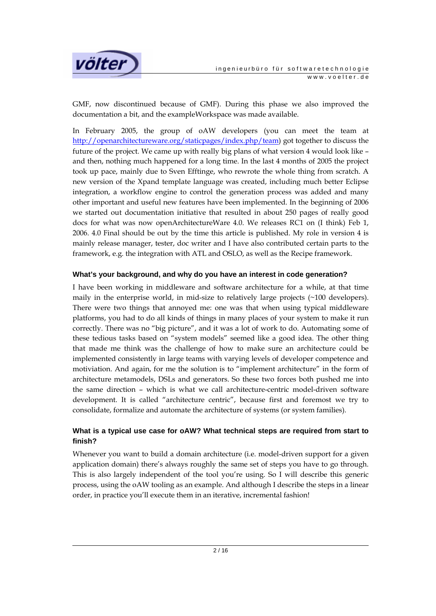

GMF, now discontinued because of GMF). During this phase we also improved the documentation a bit, and the exampleWorkspace was made available.

In February 2005, the group of oAW developers (you can meet the team at http://openarchitectureware.org/staticpages/index.php/team) got together to discuss the future of the project. We came up with really big plans of what version 4 would look like – and then, nothing much happened for a long time. In the last 4 months of 2005 the project took up pace, mainly due to Sven Efftinge, who rewrote the whole thing from scratch. A new version of the Xpand template language was created, including much better Eclipse integration, a workflow engine to control the generation process was added and many other important and useful new features have been implemented. In the beginning of 2006 we started out documentation initiative that resulted in about 250 pages of really good docs for what was now openArchitectureWare 4.0. We releases RC1 on (I think) Feb 1, 2006. 4.0 Final should be out by the time this article is published. My role in version 4 is mainly release manager, tester, doc writer and I have also contributed certain parts to the framework, e.g. the integration with ATL and OSLO, as well as the Recipe framework.

#### **What's your background, and why do you have an interest in code generation?**

I have been working in middleware and software architecture for a while, at that time maily in the enterprise world, in mid-size to relatively large projects (~100 developers). There were two things that annoyed me: one was that when using typical middleware platforms, you had to do all kinds of things in many places of your system to make it run correctly. There was no "big picture", and it was a lot of work to do. Automating some of these tedious tasks based on "system models" seemed like a good idea. The other thing that made me think was the challenge of how to make sure an architecture could be implemented consistently in large teams with varying levels of developer competence and motiviation. And again, for me the solution is to "implement architecture" in the form of architecture metamodels, DSLs and generators. So these two forces both pushed me into the same direction – which is what we call architecture-centric model-driven software development. It is called "architecture centric", because first and foremost we try to consolidate, formalize and automate the architecture of systems (or system families).

#### **What is a typical use case for oAW? What technical steps are required from start to finish?**

Whenever you want to build a domain architecture (i.e. model-driven support for a given application domain) there's always roughly the same set of steps you have to go through. This is also largely independent of the tool you're using. So I will describe this generic process, using the oAW tooling as an example. And although I describe the steps in a linear order, in practice you'll execute them in an iterative, incremental fashion!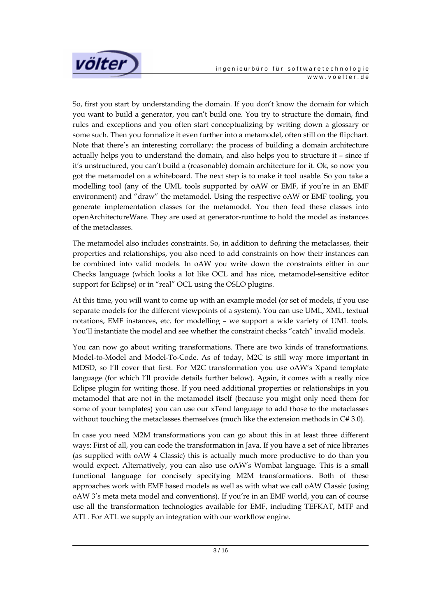

So, first you start by understanding the domain. If you don't know the domain for which you want to build a generator, you can't build one. You try to structure the domain, find rules and exceptions and you often start conceptualizing by writing down a glossary or some such. Then you formalize it even further into a metamodel, often still on the flipchart. Note that there's an interesting corrollary: the process of building a domain architecture actually helps you to understand the domain, and also helps you to structure it – since if it's unstructured, you can't build a (reasonable) domain architecture for it. Ok, so now you got the metamodel on a whiteboard. The next step is to make it tool usable. So you take a modelling tool (any of the UML tools supported by oAW or EMF, if you're in an EMF environment) and "draw" the metamodel. Using the respective oAW or EMF tooling, you generate implementation classes for the metamodel. You then feed these classes into openArchitectureWare. They are used at generator-runtime to hold the model as instances of the metaclasses.

The metamodel also includes constraints. So, in addition to defining the metaclasses, their properties and relationships, you also need to add constraints on how their instances can be combined into valid models. In oAW you write down the constraints either in our Checks language (which looks a lot like OCL and has nice, metamodel-sensitive editor support for Eclipse) or in "real" OCL using the OSLO plugins.

At this time, you will want to come up with an example model (or set of models, if you use separate models for the different viewpoints of a system). You can use UML, XML, textual notations, EMF instances, etc. for modelling – we support a wide variety of UML tools. You'll instantiate the model and see whether the constraint checks "catch" invalid models.

You can now go about writing transformations. There are two kinds of transformations. Model-to-Model and Model-To-Code. As of today, M2C is still way more important in MDSD, so I'll cover that first. For M2C transformation you use oAW's Xpand template language (for which I'll provide details further below). Again, it comes with a really nice Eclipse plugin for writing those. If you need additional properties or relationships in you metamodel that are not in the metamodel itself (because you might only need them for some of your templates) you can use our xTend language to add those to the metaclasses without touching the metaclasses themselves (much like the extension methods in C# 3.0).

In case you need M2M transformations you can go about this in at least three different ways: First of all, you can code the transformation in Java. If you have a set of nice libraries (as supplied with oAW 4 Classic) this is actually much more productive to do than you would expect. Alternatively, you can also use oAW's Wombat language. This is a small functional language for concisely specifying M2M transformations. Both of these approaches work with EMF based models as well as with what we call oAW Classic (using oAW 3's meta meta model and conventions). If you're in an EMF world, you can of course use all the transformation technologies available for EMF, including TEFKAT, MTF and ATL. For ATL we supply an integration with our workflow engine.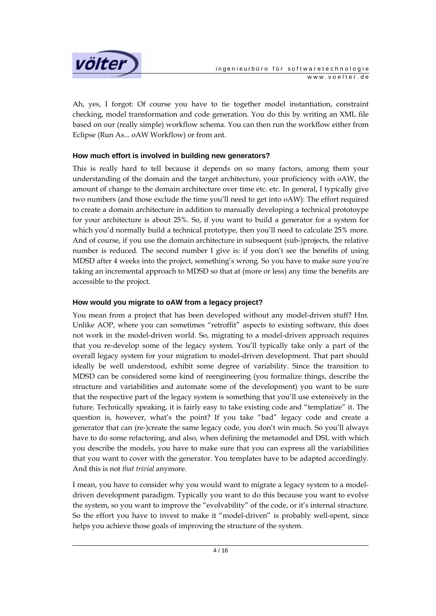

Ah, yes, I forgot: Of course you have to tie together model instantiation, constraint checking, model transformation and code generation. You do this by writing an XML file based on our (really simple) workflow schema. You can then run the workflow either from Eclipse (Run As... oAW Workflow) or from ant.

#### **How much effort is involved in building new generators?**

This is really hard to tell because it depends on so many factors, among them your understanding of the domain and the target architecture, your proficiency with oAW, the amount of change to the domain architecture over time etc. etc. In general, I typically give two numbers (and those exclude the time you'll need to get into oAW): The effort required to create a domain architecture in addition to manually developing a technical prototoype for your architecture is about 25%. So, if you want to build a generator for a system for which you'd normally build a technical prototype, then you'll need to calculate 25% more. And of course, if you use the domain architecture in subsequent (sub-)projects, the relative number is reduced. The second number I give is: if you don't see the benefits of using MDSD after 4 weeks into the project, something's wrong. So you have to make sure you're taking an incremental approach to MDSD so that at (more or less) any time the benefits are accessible to the project.

#### **How would you migrate to oAW from a legacy project?**

You mean from a project that has been developed without any model-driven stuff? Hm. Unlike AOP, where you can sometimes "retroffit" aspects to existing software, this does not work in the model-driven world. So, migrating to a model-driven approach requires that you re-develop some of the legacy system. You'll typically take only a part of the overall legacy system for your migration to model-driven development. That part should ideally be well understood, exhibit some degree of variability. Since the transition to MDSD can be considered some kind of reengineering (you formalize things, describe the structure and variabilities and automate some of the development) you want to be sure that the respective part of the legacy system is something that you'll use extensively in the future. Technically speaking, it is fairly easy to take existing code and "templatize" it. The question is, however, what's the point? If you take "bad" legacy code and create a generator that can (re-)create the same legacy code, you don't win much. So you'll always have to do some refactoring, and also, when defining the metamodel and DSL with which you describe the models, you have to make sure that you can express all the variabilities that you want to cover with the generator. You templates have to be adapted accordingly. And this is not *that trivial* anymore.

I mean, you have to consider why you would want to migrate a legacy system to a modeldriven development paradigm. Typically you want to do this because you want to evolve the system, so you want to improve the "evolvability" of the code, or it's internal structure. So the effort you have to invest to make it "model-driven" is probably well-spent, since helps you achieve those goals of improving the structure of the system.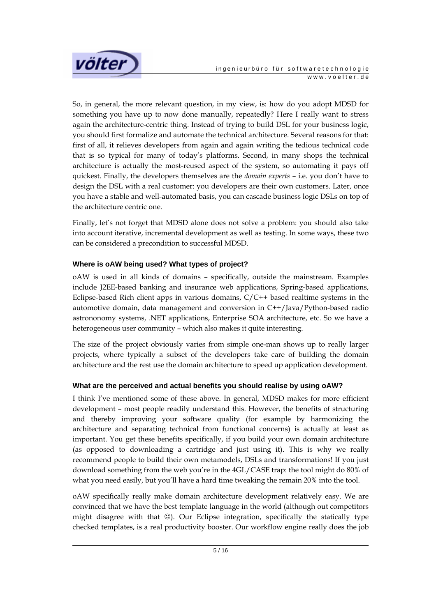

So, in general, the more relevant question, in my view, is: how do you adopt MDSD for something you have up to now done manually, repeatedly? Here I really want to stress again the architecture-centric thing. Instead of trying to build DSL for your business logic, you should first formalize and automate the technical architecture. Several reasons for that: first of all, it relieves developers from again and again writing the tedious technical code that is so typical for many of today's platforms. Second, in many shops the technical architecture is actually the most-reused aspect of the system, so automating it pays off quickest. Finally, the developers themselves are the *domain experts* – i.e. you don't have to design the DSL with a real customer: you developers are their own customers. Later, once you have a stable and well-automated basis, you can cascade business logic DSLs on top of the architecture centric one.

Finally, let's not forget that MDSD alone does not solve a problem: you should also take into account iterative, incremental development as well as testing. In some ways, these two can be considered a precondition to successful MDSD.

## **Where is oAW being used? What types of project?**

oAW is used in all kinds of domains – specifically, outside the mainstream. Examples include J2EE-based banking and insurance web applications, Spring-based applications, Eclipse-based Rich client apps in various domains, C/C++ based realtime systems in the automotive domain, data management and conversion in C++/Java/Python-based radio astrononomy systems, .NET applications, Enterprise SOA architecture, etc. So we have a heterogeneous user community – which also makes it quite interesting.

The size of the project obviously varies from simple one-man shows up to really larger projects, where typically a subset of the developers take care of building the domain architecture and the rest use the domain architecture to speed up application development.

## **What are the perceived and actual benefits you should realise by using oAW?**

I think I've mentioned some of these above. In general, MDSD makes for more efficient development – most people readily understand this. However, the benefits of structuring and thereby improving your software quality (for example by harmonizing the architecture and separating technical from functional concerns) is actually at least as important. You get these benefits specifically, if you build your own domain architecture (as opposed to downloading a cartridge and just using it). This is why we really recommend people to build their own metamodels, DSLs and transformations! If you just download something from the web you're in the 4GL/CASE trap: the tool might do 80% of what you need easily, but you'll have a hard time tweaking the remain 20% into the tool.

oAW specifically really make domain architecture development relatively easy. We are convinced that we have the best template language in the world (although out competitors might disagree with that ☺). Our Eclipse integration, specifically the statically type checked templates, is a real productivity booster. Our workflow engine really does the job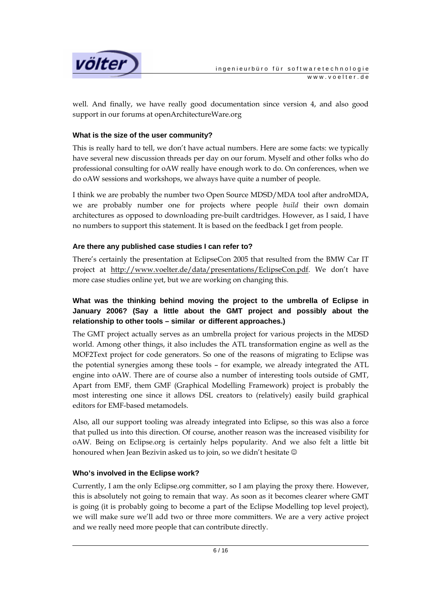

well. And finally, we have really good documentation since version 4, and also good support in our forums at openArchitectureWare.org

#### **What is the size of the user community?**

This is really hard to tell, we don't have actual numbers. Here are some facts: we typically have several new discussion threads per day on our forum. Myself and other folks who do professional consulting for oAW really have enough work to do. On conferences, when we do oAW sessions and workshops, we always have quite a number of people.

I think we are probably the number two Open Source MDSD/MDA tool after androMDA, we are probably number one for projects where people *build* their own domain architectures as opposed to downloading pre-built cardtridges. However, as I said, I have no numbers to support this statement. It is based on the feedback I get from people.

#### **Are there any published case studies I can refer to?**

There's certainly the presentation at EclipseCon 2005 that resulted from the BMW Car IT project at http://www.voelter.de/data/presentations/EclipseCon.pdf. We don't have more case studies online yet, but we are working on changing this.

## **What was the thinking behind moving the project to the umbrella of Eclipse in January 2006? (Say a little about the GMT project and possibly about the relationship to other tools – similar or different approaches.)**

The GMT project actually serves as an umbrella project for various projects in the MDSD world. Among other things, it also includes the ATL transformation engine as well as the MOF2Text project for code generators. So one of the reasons of migrating to Eclipse was the potential synergies among these tools – for example, we already integrated the ATL engine into oAW. There are of course also a number of interesting tools outside of GMT, Apart from EMF, them GMF (Graphical Modelling Framework) project is probably the most interesting one since it allows DSL creators to (relatively) easily build graphical editors for EMF-based metamodels.

Also, all our support tooling was already integrated into Eclipse, so this was also a force that pulled us into this direction. Of course, another reason was the increased visibility for oAW. Being on Eclipse.org is certainly helps popularity. And we also felt a little bit honoured when Jean Bezivin asked us to join, so we didn't hesitate  $\odot$ 

#### **Who's involved in the Eclipse work?**

Currently, I am the only Eclipse.org committer, so I am playing the proxy there. However, this is absolutely not going to remain that way. As soon as it becomes clearer where GMT is going (it is probably going to become a part of the Eclipse Modelling top level project), we will make sure we'll add two or three more committers. We are a very active project and we really need more people that can contribute directly.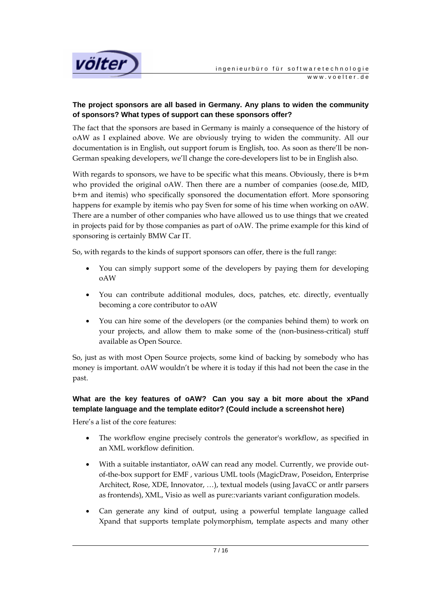

## **The project sponsors are all based in Germany. Any plans to widen the community of sponsors? What types of support can these sponsors offer?**

The fact that the sponsors are based in Germany is mainly a consequence of the history of oAW as I explained above. We are obviously trying to widen the community. All our documentation is in English, out support forum is English, too. As soon as there'll be non-German speaking developers, we'll change the core-developers list to be in English also.

With regards to sponsors, we have to be specific what this means. Obviously, there is  $b+m$ who provided the original oAW. Then there are a number of companies (oose.de, MID, b+m and itemis) who specifically sponsored the documentation effort. More sponsoring happens for example by itemis who pay Sven for some of his time when working on oAW. There are a number of other companies who have allowed us to use things that we created in projects paid for by those companies as part of oAW. The prime example for this kind of sponsoring is certainly BMW Car IT.

So, with regards to the kinds of support sponsors can offer, there is the full range:

- You can simply support some of the developers by paying them for developing oAW
- You can contribute additional modules, docs, patches, etc. directly, eventually becoming a core contributor to oAW
- You can hire some of the developers (or the companies behind them) to work on your projects, and allow them to make some of the (non-business-critical) stuff available as Open Source.

So, just as with most Open Source projects, some kind of backing by somebody who has money is important. oAW wouldn't be where it is today if this had not been the case in the past.

## **What are the key features of oAW? Can you say a bit more about the xPand template language and the template editor? (Could include a screenshot here)**

Here's a list of the core features:

- The workflow engine precisely controls the generator's workflow, as specified in an XML workflow definition.
- With a suitable instantiator, oAW can read any model. Currently, we provide outof-the-box support for EMF , various UML tools (MagicDraw, Poseidon, Enterprise Architect, Rose, XDE, Innovator, …), textual models (using JavaCC or antlr parsers as frontends), XML, Visio as well as pure::variants variant configuration models.
- Can generate any kind of output, using a powerful template language called Xpand that supports template polymorphism, template aspects and many other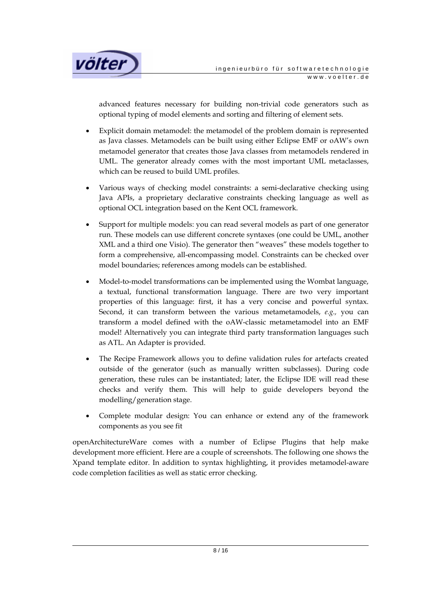

advanced features necessary for building non-trivial code generators such as optional typing of model elements and sorting and filtering of element sets.

- Explicit domain metamodel: the metamodel of the problem domain is represented as Java classes. Metamodels can be built using either Eclipse EMF or oAW's own metamodel generator that creates those Java classes from metamodels rendered in UML. The generator already comes with the most important UML metaclasses, which can be reused to build UML profiles.
- Various ways of checking model constraints: a semi-declarative checking using Java APIs, a proprietary declarative constraints checking language as well as optional OCL integration based on the Kent OCL framework.
- Support for multiple models: you can read several models as part of one generator run. These models can use different concrete syntaxes (one could be UML, another XML and a third one Visio). The generator then "weaves" these models together to form a comprehensive, all-encompassing model. Constraints can be checked over model boundaries; references among models can be established.
- Model-to-model transformations can be implemented using the Wombat language, a textual, functional transformation language. There are two very important properties of this language: first, it has a very concise and powerful syntax. Second, it can transform between the various metametamodels, *e.g.,* you can transform a model defined with the oAW-classic metametamodel into an EMF model! Alternatively you can integrate third party transformation languages such as ATL. An Adapter is provided.
- The Recipe Framework allows you to define validation rules for artefacts created outside of the generator (such as manually written subclasses). During code generation, these rules can be instantiated; later, the Eclipse IDE will read these checks and verify them. This will help to guide developers beyond the modelling/generation stage.
- Complete modular design: You can enhance or extend any of the framework components as you see fit

openArchitectureWare comes with a number of Eclipse Plugins that help make development more efficient. Here are a couple of screenshots. The following one shows the Xpand template editor. In addition to syntax highlighting, it provides metamodel-aware code completion facilities as well as static error checking.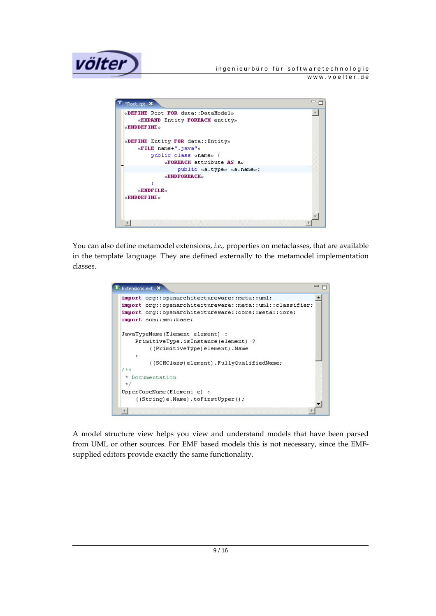



You can also define metamodel extensions, *i.e.,* properties on metaclasses, that are available in the template language. They are defined externally to the metamodel implementation classes.



A model structure view helps you view and understand models that have been parsed from UML or other sources. For EMF based models this is not necessary, since the EMFsupplied editors provide exactly the same functionality.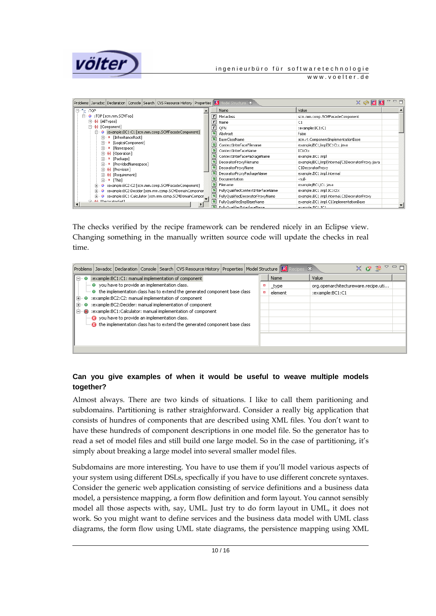

# **VÖİTEF** DE ERESTER TÜREFERINDEN TÜREFERINDEN TÜREFERINDEN İNDENETAT İNDENETAT ÖLÜMÜ TÜREFERINDEN TÜREFERINDEN TÜREFERINDEN TÜREFERINDEN TÜREFERINDEN TÜREFERINDEN TÜREFERINDEN TÜREFERINDEN TÜREFERINDEN TÜREFERINDEN TÜREFER

www.voelter.de

| Problems   Javadoc   Declaration   Console   Search   CVS Resource History   Properties   S   Model Structure X |                          |                                    | ▽<br>X H M S                                    | $=$ $F$ |
|-----------------------------------------------------------------------------------------------------------------|--------------------------|------------------------------------|-------------------------------------------------|---------|
| E⊢ <sup>4</sup> ≣ :TOP                                                                                          |                          | Name                               | Value                                           |         |
| 白… ● :TOP [scm.mm.SCMTop]                                                                                       | $\mathbf{r}$             | Metaclass                          | scm.mm.comp.SCMFacadeComponent                  |         |
| - (c) [AllTypes]<br>田                                                                                           | Ir.                      | Name                               | C1                                              |         |
| - (or [Component]                                                                                               | $\mathsf{r}$             | OFN                                | :example:BC1:C1                                 |         |
| :example:BC1:C1 [scm.mm.comp.SCMFacadeComponent]<br>۰.<br>Ė.                                                    | s                        | Abstract                           | false                                           |         |
| [InheritanceRoot]<br><b>FI-9</b>                                                                                | s                        | BaseClassName                      | scm.rt.ComponentImplementationBase              |         |
| 主… ■ [LogicalComponent]                                                                                         | s                        | ContextInterfaceFilename           | example/BC1/impl/IC1Ctx.java                    |         |
| [Namespace]<br>$+ - 0$<br>由 (operation)                                                                         | S                        | ContextInterfaceName               | IC1Ctx                                          |         |
| 亩… ¤ 「Package]                                                                                                  | $\mathbf{s}$             | ContextInterfacePackageName        | example.BC1.impl                                |         |
| F- D [ProvidedNamespace]                                                                                        | $\mathbf{s}$             | DecoratorProxyFilename             | example/BC1/impl/internal/C1DecoratorProxy.java |         |
| 田 (o) [Provision]                                                                                               |                          | S DecoratorProxyName               | C1DecoratorProxy                                |         |
| 田 (b) [Requirement]                                                                                             |                          | DecoratorProxyPackageName          | example.BC1.impl.internal                       |         |
| <b>E-P</b> [This]                                                                                               | S                        | Documentation                      | -null-                                          |         |
| :example:BC2:C2 [scm.mm.comp.SCMFacadeComponent]<br>⊞                                                           | s                        | Filename                           | example/BC1/C1.java                             |         |
| :example:BC2:Decider [scm.mm.comp.SCMDomainComponer]                                                            | $\mathbf{s}$             | FullyQualifiedContextInterfaceName | example.BC1.impl.IC1Ctx                         |         |
| :example:BC1:Calculator [scm.mm.comp.SCMDomainCompor<br>$\bullet$                                               | $\mathbf{s}$             | FullyQualifiedDecoratorProxyName   | example.BC1.impl.internal.C1DecoratorProxy      |         |
| <b>John FinancestorSat1</b><br>国                                                                                |                          | S FullyQualifiedImplBaseName       | example.BC1.impl.C1ImplementationBase           |         |
|                                                                                                                 | $\overline{\phantom{a}}$ | EullyOualifiedInterFaceName        | example PC1 TC1                                 |         |

The checks verified by the recipe framework can be rendered nicely in an Eclipse view. Changing something in the manually written source code will update the checks in real time.

|                                                                                                                                                                                                                                                                                                                                                                                                                                                                                                                                                                        |  |  |  |  | Problems   Javadoc   Declaration   Console   Search   CVS Resource History   Properties   Model Structure   R |  |  |         | x                                   | メ び 影 |  |  |
|------------------------------------------------------------------------------------------------------------------------------------------------------------------------------------------------------------------------------------------------------------------------------------------------------------------------------------------------------------------------------------------------------------------------------------------------------------------------------------------------------------------------------------------------------------------------|--|--|--|--|---------------------------------------------------------------------------------------------------------------|--|--|---------|-------------------------------------|-------|--|--|
| :example:BC1:C1: manual implementation of component<br>⊟…⊖<br>→ you have to provide an implementation class.<br>i • the implementation class has to extend the generated component base class<br>:example:BC2:C2: manual implementation of component<br>⊞… ●<br>:example:BC2:Decider: manual implementation of component-<br>$\overline{+}$ $\cdots$<br>:example:BC1:Calculator: manual implementation of component<br>$\boxdot$ $\infty$<br>you have to provide an implementation class.<br>the implementation class has to extend the generated component base class |  |  |  |  |                                                                                                               |  |  | Name    | Value                               |       |  |  |
|                                                                                                                                                                                                                                                                                                                                                                                                                                                                                                                                                                        |  |  |  |  |                                                                                                               |  |  | _type   | org.openarchitectureware.recipe.uti |       |  |  |
|                                                                                                                                                                                                                                                                                                                                                                                                                                                                                                                                                                        |  |  |  |  |                                                                                                               |  |  | element |                                     |       |  |  |
|                                                                                                                                                                                                                                                                                                                                                                                                                                                                                                                                                                        |  |  |  |  |                                                                                                               |  |  |         |                                     |       |  |  |
|                                                                                                                                                                                                                                                                                                                                                                                                                                                                                                                                                                        |  |  |  |  |                                                                                                               |  |  |         |                                     |       |  |  |
|                                                                                                                                                                                                                                                                                                                                                                                                                                                                                                                                                                        |  |  |  |  |                                                                                                               |  |  |         |                                     |       |  |  |
|                                                                                                                                                                                                                                                                                                                                                                                                                                                                                                                                                                        |  |  |  |  |                                                                                                               |  |  |         |                                     |       |  |  |
|                                                                                                                                                                                                                                                                                                                                                                                                                                                                                                                                                                        |  |  |  |  |                                                                                                               |  |  |         |                                     |       |  |  |
|                                                                                                                                                                                                                                                                                                                                                                                                                                                                                                                                                                        |  |  |  |  |                                                                                                               |  |  |         |                                     |       |  |  |
|                                                                                                                                                                                                                                                                                                                                                                                                                                                                                                                                                                        |  |  |  |  |                                                                                                               |  |  |         |                                     |       |  |  |
|                                                                                                                                                                                                                                                                                                                                                                                                                                                                                                                                                                        |  |  |  |  |                                                                                                               |  |  |         |                                     |       |  |  |

### **Can you give examples of when it would be useful to weave multiple models together?**

Almost always. There are two kinds of situations. I like to call them paritioning and subdomains. Partitioning is rather straighforward. Consider a really big application that consists of hundres of components that are described using XML files. You don't want to have these hundreds of component descriptions in one model file. So the generator has to read a set of model files and still build one large model. So in the case of partitioning, it's simply about breaking a large model into several smaller model files.

Subdomains are more interesting. You have to use them if you'll model various aspects of your system using different DSLs, specfically if you have to use different concrete syntaxes. Consider the generic web application consisting of service definitions and a business data model, a persistence mapping, a form flow definition and form layout. You cannot sensibly model all those aspects with, say, UML. Just try to do form layout in UML, it does not work. So you might want to define services and the business data model with UML class diagrams, the form flow using UML state diagrams, the persistence mapping using XML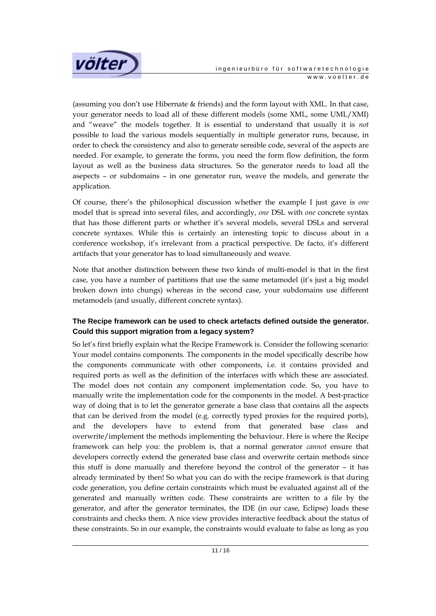

(assuming you don't use Hibernate & friends) and the form layout with XML. In that case, your generator needs to load all of these different models (some XML, some UML/XMI) and "weave" the models together. It is essential to understand that usually it is *not* possible to load the various models sequentially in multiple generator runs, because, in order to check the consistency and also to generate sensible code, several of the aspects are needed. For example, to generate the forms, you need the form flow definition, the form layout as well as the business data structures. So the generator needs to load all the asepects – or subdomains – in one generator run, weave the models, and generate the application.

Of course, there's the philosophical discussion whether the example I just gave is *one* model that is spread into several files, and accordingly, *one* DSL with *one* concrete syntax that has those different parts or whether it's several models, several DSLs and serveral concrete syntaxes. While this is certainly an interesting topic to discuss about in a conference workshop, it's irrelevant from a practical perspective. De facto, it's different artifacts that your generator has to load simultaneously and weave.

Note that another distinction between these two kinds of multi-model is that in the first case, you have a number of partitions that use the same metamodel (it's just a big model broken down into chungs) whereas in the second case, your subdomains use different metamodels (and usually, different concrete syntax).

## **The Recipe framework can be used to check artefacts defined outside the generator. Could this support migration from a legacy system?**

So let's first briefly explain what the Recipe Framework is. Consider the following scenario: Your model contains components. The components in the model specifically describe how the components communicate with other components, i.e. it contains provided and required ports as well as the definition of the interfaces with which these are associated. The model does not contain any component implementation code. So, you have to manually write the implementation code for the components in the model. A best-practice way of doing that is to let the generator generate a base class that contains all the aspects that can be derived from the model (e.g. correctly typed proxies for the required ports), and the developers have to extend from that generated base class and overwrite/implement the methods implementing the behaviour. Here is where the Recipe framework can help you: the problem is, that a normal generator *cannot* ensure that developers correctly extend the generated base class and overwrite certain methods since this stuff is done manually and therefore beyond the control of the generator – it has already terminated by then! So what you can do with the recipe framework is that during code generation, you define certain constraints which must be evaluated against all of the generated and manually written code. These constraints are written to a file by the generator, and after the generator terminates, the IDE (in our case, Eclipse) loads these constraints and checks them. A nice view provides interactive feedback about the status of these constraints. So in our example, the constraints would evaluate to false as long as you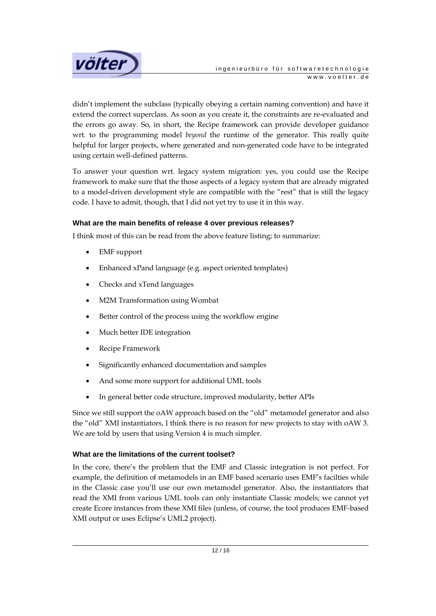

didn't implement the subclass (typically obeying a certain naming convention) and have it extend the correct superclass. As soon as you create it, the constraints are re-evaluated and the errors go away. So, in short, the Recipe framework can provide developer guidance wrt. to the programming model *beyond* the runtime of the generator. This really quite helpful for larger projects, where generated and non-generated code have to be integrated using certain well-defined patterns.

To answer your question wrt. legacy system migration: yes, you could use the Recipe framework to make sure that the those aspects of a legacy system that are already migrated to a model-driven development style are compatible with the "rest" that is still the legacy code. I have to admit, though, that I did not yet try to use it in this way.

#### **What are the main benefits of release 4 over previous releases?**

I think most of this can be read from the above feature listing; to summarize:

- EMF support
- Enhanced xPand language (e.g. aspect oriented templates)
- Checks and xTend languages
- M2M Transformation using Wombat
- Better control of the process using the workflow engine
- Much better IDE integration
- Recipe Framework
- Significantly enhanced documentation and samples
- And some more support for additional UML tools
- In general better code structure, improved modularity, better APIs

Since we still support the oAW approach based on the "old" metamodel generator and also the "old" XMI instantiators, I think there is no reason for new projects to stay with oAW 3. We are told by users that using Version 4 is much simpler.

#### **What are the limitations of the current toolset?**

In the core, there's the problem that the EMF and Classic integration is not perfect. For example, the definition of metamodels in an EMF based scenario uses EMF's facilties while in the Classic case you'll use our own metamodel generator. Also, the instantiators that read the XMI from various UML tools can only instantiate Classic models; we cannot yet create Ecore instances from these XMI files (unless, of course, the tool produces EMF-based XMI output or uses Eclipse's UML2 project).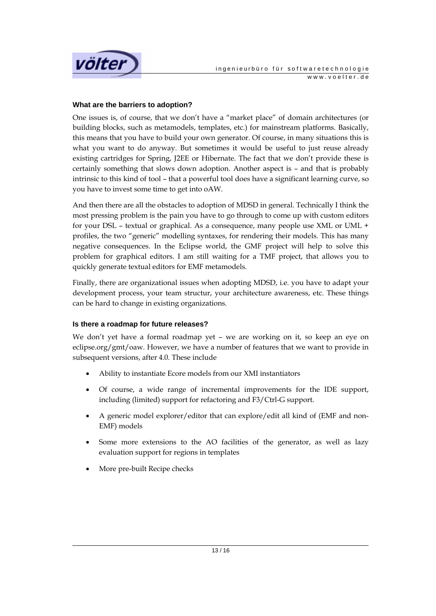

#### **What are the barriers to adoption?**

One issues is, of course, that we don't have a "market place" of domain architectures (or building blocks, such as metamodels, templates, etc.) for mainstream platforms. Basically, this means that you have to build your own generator. Of course, in many situations this is what you want to do anyway. But sometimes it would be useful to just reuse already existing cartridges for Spring, J2EE or Hibernate. The fact that we don't provide these is certainly something that slows down adoption. Another aspect is – and that is probably intrinsic to this kind of tool – that a powerful tool does have a significant learning curve, so you have to invest some time to get into oAW.

And then there are all the obstacles to adoption of MDSD in general. Technically I think the most pressing problem is the pain you have to go through to come up with custom editors for your DSL – textual or graphical. As a consequence, many people use XML or UML + profiles, the two "generic" modelling syntaxes, for rendering their models. This has many negative consequences. In the Eclipse world, the GMF project will help to solve this problem for graphical editors. I am still waiting for a TMF project, that allows you to quickly generate textual editors for EMF metamodels.

Finally, there are organizational issues when adopting MDSD, i.e. you have to adapt your development process, your team structur, your architecture awareness, etc. These things can be hard to change in existing organizations.

#### **Is there a roadmap for future releases?**

We don't yet have a formal roadmap yet – we are working on it, so keep an eye on eclipse.org/gmt/oaw. However, we have a number of features that we want to provide in subsequent versions, after 4.0. These include

- Ability to instantiate Ecore models from our XMI instantiators
- Of course, a wide range of incremental improvements for the IDE support, including (limited) support for refactoring and F3/Ctrl-G support.
- A generic model explorer/editor that can explore/edit all kind of (EMF and non-EMF) models
- Some more extensions to the AO facilities of the generator, as well as lazy evaluation support for regions in templates
- More pre-built Recipe checks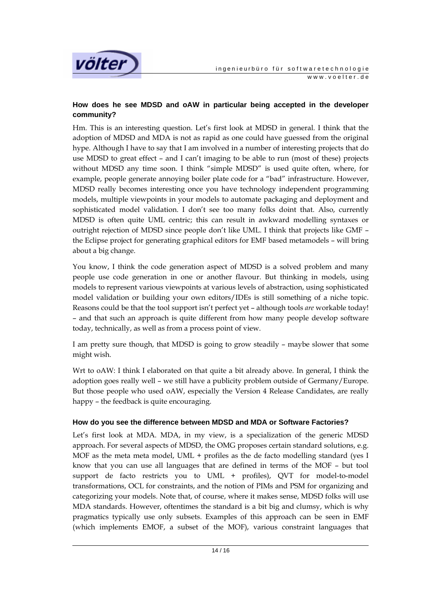

## **How does he see MDSD and oAW in particular being accepted in the developer community?**

Hm. This is an interesting question. Let's first look at MDSD in general. I think that the adoption of MDSD and MDA is not as rapid as one could have guessed from the original hype. Although I have to say that I am involved in a number of interesting projects that do use MDSD to great effect – and I can't imaging to be able to run (most of these) projects without MDSD any time soon. I think "simple MDSD" is used quite often, where, for example, people generate annoying boiler plate code for a "bad" infrastructure. However, MDSD really becomes interesting once you have technology independent programming models, multiple viewpoints in your models to automate packaging and deployment and sophisticated model validation. I don't see too many folks doint that. Also, currently MDSD is often quite UML centric; this can result in awkward modelling syntaxes or outright rejection of MDSD since people don't like UML. I think that projects like GMF – the Eclipse project for generating graphical editors for EMF based metamodels – will bring about a big change.

You know, I think the code generation aspect of MDSD is a solved problem and many people use code generation in one or another flavour. But thinking in models, using models to represent various viewpoints at various levels of abstraction, using sophisticated model validation or building your own editors/IDEs is still something of a niche topic. Reasons could be that the tool support isn't perfect yet – although tools *are* workable today! – and that such an approach is quite different from how many people develop software today, technically, as well as from a process point of view.

I am pretty sure though, that MDSD is going to grow steadily – maybe slower that some might wish.

Wrt to oAW: I think I elaborated on that quite a bit already above. In general, I think the adoption goes really well – we still have a publicity problem outside of Germany/Europe. But those people who used oAW, especially the Version 4 Release Candidates, are really happy – the feedback is quite encouraging.

## **How do you see the difference between MDSD and MDA or Software Factories?**

Let's first look at MDA. MDA, in my view, is a specialization of the generic MDSD approach. For several aspects of MDSD, the OMG proposes certain standard solutions, e.g. MOF as the meta meta model, UML + profiles as the de facto modelling standard (yes I know that you can use all languages that are defined in terms of the MOF – but tool support de facto restricts you to UML + profiles), QVT for model-to-model transformations, OCL for constraints, and the notion of PIMs and PSM for organizing and categorizing your models. Note that, of course, where it makes sense, MDSD folks will use MDA standards. However, oftentimes the standard is a bit big and clumsy, which is why pragmatics typically use only subsets. Examples of this approach can be seen in EMF (which implements EMOF, a subset of the MOF), various constraint languages that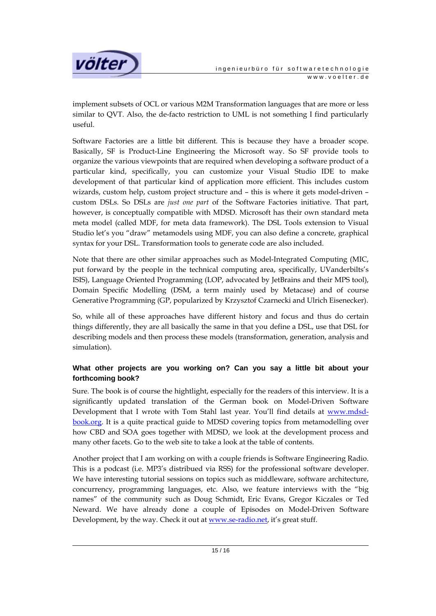

implement subsets of OCL or various M2M Transformation languages that are more or less similar to QVT. Also, the de-facto restriction to UML is not something I find particularly useful.

Software Factories are a little bit different. This is because they have a broader scope. Basically, SF is Product-Line Engineering the Microsoft way. So SF provide tools to organize the various viewpoints that are required when developing a software product of a particular kind, specifically, you can customize your Visual Studio IDE to make development of that particular kind of application more efficient. This includes custom wizards, custom help, custom project structure and – this is where it gets model-driven – custom DSLs. So DSLs are *just one part* of the Software Factories initiative. That part, however, is conceptually compatible with MDSD. Microsoft has their own standard meta meta model (called MDF, for meta data framework). The DSL Tools extension to Visual Studio let's you "draw" metamodels using MDF, you can also define a concrete, graphical syntax for your DSL. Transformation tools to generate code are also included.

Note that there are other similar approaches such as Model-Integrated Computing (MIC, put forward by the people in the technical computing area, specifically, UVanderbilts's ISIS), Language Oriented Programming (LOP, advocated by JetBrains and their MPS tool), Domain Specific Modelling (DSM, a term mainly used by Metacase) and of course Generative Programming (GP, popularized by Krzysztof Czarnecki and Ulrich Eisenecker).

So, while all of these approaches have different history and focus and thus do certain things differently, they are all basically the same in that you define a DSL, use that DSL for describing models and then process these models (transformation, generation, analysis and simulation).

## **What other projects are you working on? Can you say a little bit about your forthcoming book?**

Sure. The book is of course the hightlight, especially for the readers of this interview. It is a significantly updated translation of the German book on Model-Driven Software Development that I wrote with Tom Stahl last year. You'll find details at www.mdsdbook.org. It is a quite practical guide to MDSD covering topics from metamodelling over how CBD and SOA goes together with MDSD, we look at the development process and many other facets. Go to the web site to take a look at the table of contents.

Another project that I am working on with a couple friends is Software Engineering Radio. This is a podcast (i.e. MP3's distribued via RSS) for the professional software developer. We have interesting tutorial sessions on topics such as middleware, software architecture, concurrency, programming languages, etc. Also, we feature interviews with the "big names" of the community such as Doug Schmidt, Eric Evans, Gregor Kiczales or Ted Neward. We have already done a couple of Episodes on Model-Driven Software Development, by the way. Check it out at www.se-radio.net, it's great stuff.